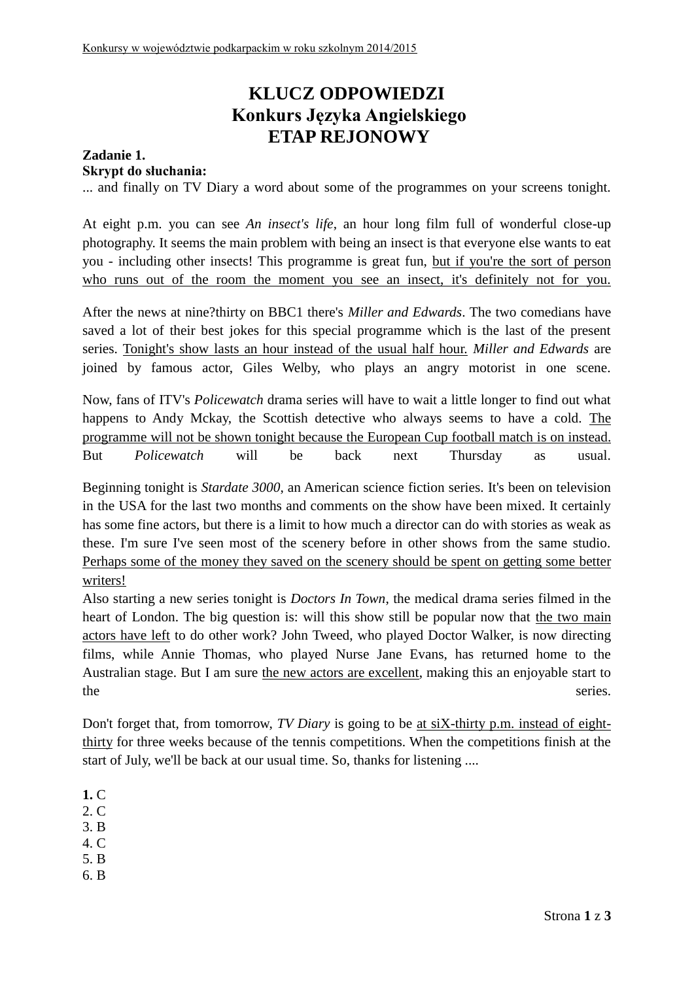# **KLUCZ ODPOWIEDZI Konkurs Języka Angielskiego ETAP REJONOWY**

## **Zadanie 1. Skrypt do słuchania:**

... and finally on TV Diary a word about some of the programmes on your screens tonight.

At eight p.m. you can see *An insect's life*, an hour long film full of wonderful close-up photography. It seems the main problem with being an insect is that everyone else wants to eat you - including other insects! This programme is great fun, but if you're the sort of person who runs out of the room the moment you see an insect, it's definitely not for you.

After the news at nine?thirty on BBC1 there's *Miller and Edwards*. The two comedians have saved a lot of their best jokes for this special programme which is the last of the present series. Tonight's show lasts an hour instead of the usual half hour. *Miller and Edwards* are joined by famous actor, Giles Welby, who plays an angry motorist in one scene.

Now, fans of ITV's *Policewatch* drama series will have to wait a little longer to find out what happens to Andy Mckay, the Scottish detective who always seems to have a cold. The programme will not be shown tonight because the European Cup football match is on instead. But *Policewatch* will be back next Thursday as usual.

Beginning tonight is *Stardate 3000*, an American science fiction series. It's been on television in the USA for the last two months and comments on the show have been mixed. It certainly has some fine actors, but there is a limit to how much a director can do with stories as weak as these. I'm sure I've seen most of the scenery before in other shows from the same studio. Perhaps some of the money they saved on the scenery should be spent on getting some better writers!

Also starting a new series tonight is *Doctors In Town*, the medical drama series filmed in the heart of London. The big question is: will this show still be popular now that the two main actors have left to do other work? John Tweed, who played Doctor Walker, is now directing films, while Annie Thomas, who played Nurse Jane Evans, has returned home to the Australian stage. But I am sure the new actors are excellent, making this an enjoyable start to the series.

Don't forget that, from tomorrow, *TV Diary* is going to be at siX-thirty p.m. instead of eightthirty for three weeks because of the tennis competitions. When the competitions finish at the start of July, we'll be back at our usual time. So, thanks for listening ....

**1.** C

2. C

- 3. B
- 4. C
- 5. B
- 6. B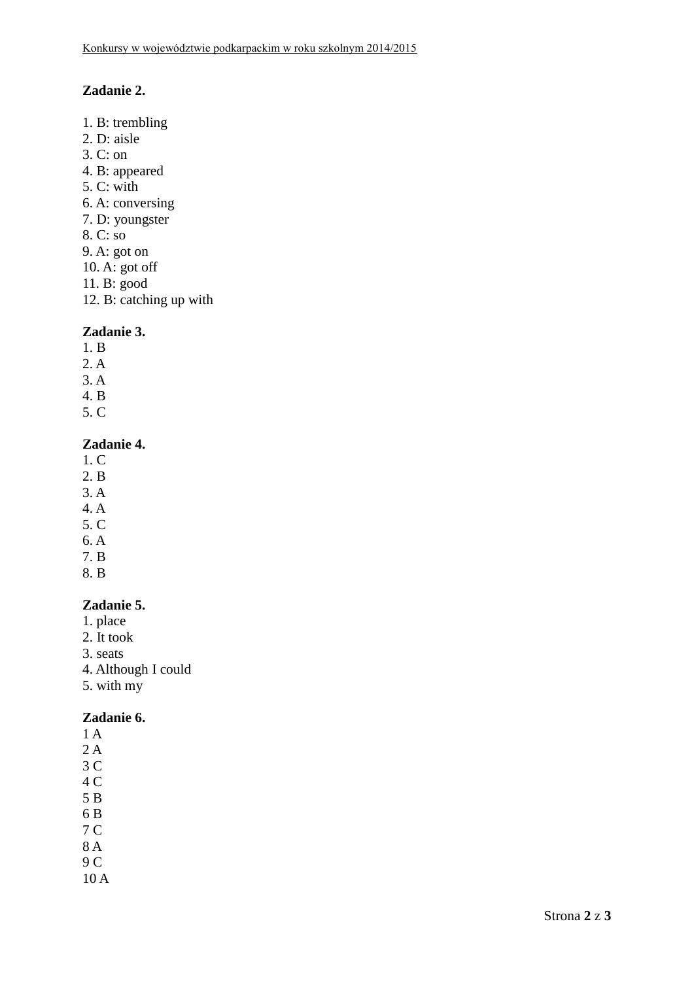# **Zadanie 2.**

- 1. B: trembling 2. D: aisle 3. C: on 4. B: appeared 5. C: with 6. A: conversing 7. D: youngster 8. C: so 9. A: got on 10. A: got off 11. B: good
- 12. B: catching up with

#### **Zadanie 3.**

- 1. B
- 2. A
- 3. A
- 4. B
- 5. C

#### **Zadanie 4.**

- 1. C
- 2. B
- 3. A
- 4. A
- 5. C
- 6. A 7. B
- 
- 8. B

#### **Zadanie 5.**

- 1. place
- 2. It took
- 3. seats
- 4. Although I could
- 5. with my

#### **Zadanie 6.**

- 1 A
- 2 A
- 3 C
- 4 C
- 5 B
- 6 B 7 C
- 8 A
- 9 C
- 10 A